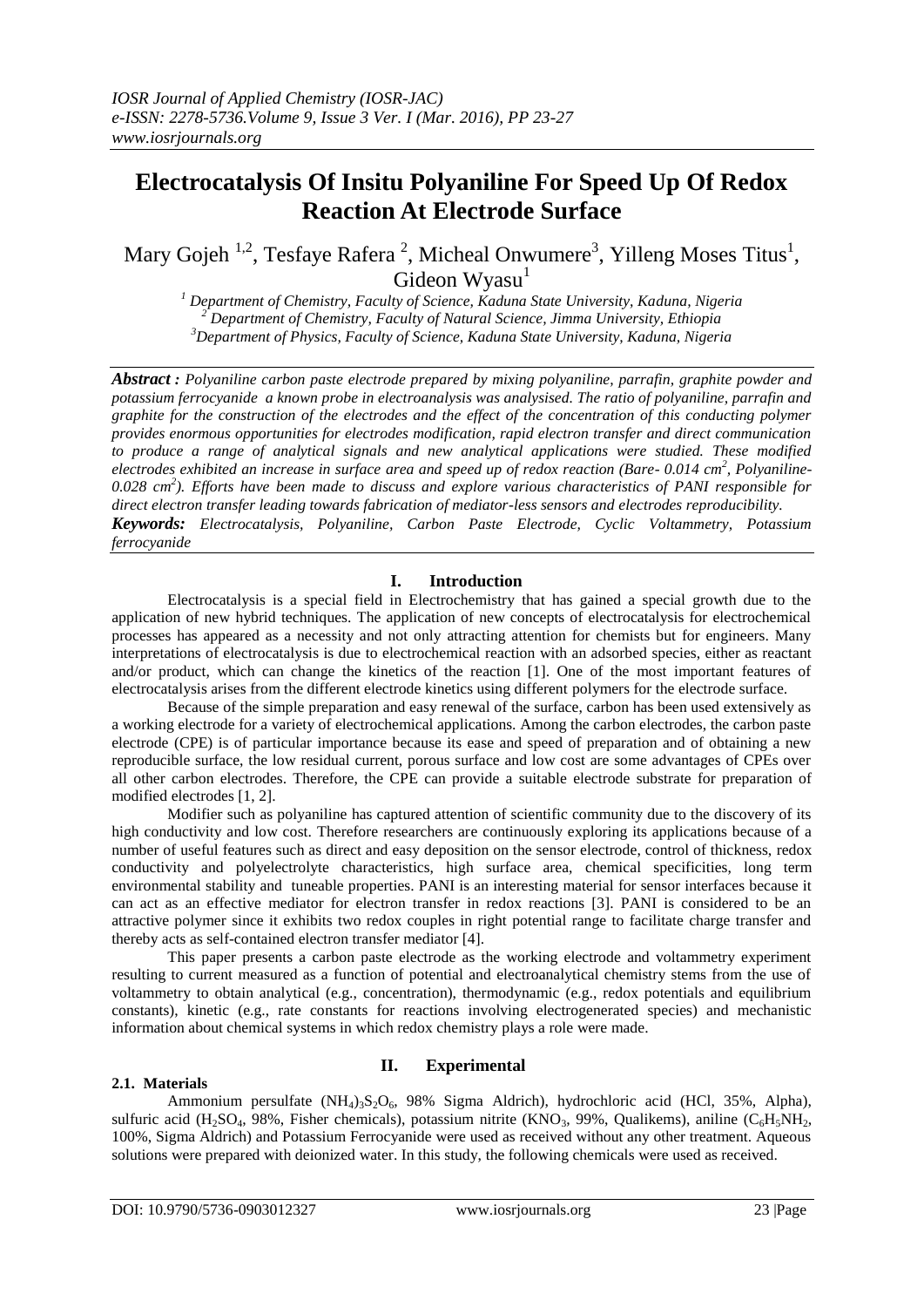# **Electrocatalysis Of Insitu Polyaniline For Speed Up Of Redox Reaction At Electrode Surface**

Mary Gojeh<sup>1,2</sup>, Tesfaye Rafera<sup>2</sup>, Micheal Onwumere<sup>3</sup>, Yilleng Moses Titus<sup>1</sup>, Gideon Wyasu<sup>1</sup>

*<sup>1</sup> Department of Chemistry, Faculty of Science, Kaduna State University, Kaduna, Nigeria <sup>2</sup> Department of Chemistry, Faculty of Natural Science, Jimma University, Ethiopia <sup>3</sup>Department of Physics, Faculty of Science, Kaduna State University, Kaduna, Nigeria*

*Abstract : Polyaniline carbon paste electrode prepared by mixing polyaniline, parrafin, graphite powder and potassium ferrocyanide a known probe in electroanalysis was analysised. The ratio of polyaniline, parrafin and graphite for the construction of the electrodes and the effect of the concentration of this conducting polymer provides enormous opportunities for electrodes modification, rapid electron transfer and direct communication to produce a range of analytical signals and new analytical applications were studied. These modified electrodes exhibited an increase in surface area and speed up of redox reaction (Bare- 0.014 cm<sup>2</sup> , Polyaniline-0.028 cm<sup>2</sup> ). Efforts have been made to discuss and explore various characteristics of PANI responsible for direct electron transfer leading towards fabrication of mediator-less sensors and electrodes reproducibility. Keywords: Electrocatalysis, Polyaniline, Carbon Paste Electrode, Cyclic Voltammetry, Potassium ferrocyanide*

### **I. Introduction**

Electrocatalysis is a special field in Electrochemistry that has gained a special growth due to the application of new hybrid techniques. The application of new concepts of electrocatalysis for electrochemical processes has appeared as a necessity and not only attracting attention for chemists but for engineers. Many interpretations of electrocatalysis is due to electrochemical reaction with an adsorbed species, either as reactant and/or product, which can change the kinetics of the reaction [1]. One of the most important features of electrocatalysis arises from the different electrode kinetics using different polymers for the electrode surface.

Because of the simple preparation and easy renewal of the surface, carbon has been used extensively as a working electrode for a variety of electrochemical applications. Among the carbon electrodes, the carbon paste electrode (CPE) is of particular importance because its ease and speed of preparation and of obtaining a new reproducible surface, the low residual current, porous surface and low cost are some advantages of CPEs over all other carbon electrodes. Therefore, the CPE can provide a suitable electrode substrate for preparation of modified electrodes [1, 2].

Modifier such as polyaniline has captured attention of scientific community due to the discovery of its high conductivity and low cost. Therefore researchers are continuously exploring its applications because of a number of useful features such as direct and easy deposition on the sensor electrode, control of thickness, redox conductivity and polyelectrolyte characteristics, high surface area, chemical specificities, long term environmental stability and tuneable properties. PANI is an interesting material for sensor interfaces because it can act as an effective mediator for electron transfer in redox reactions [3]. PANI is considered to be an attractive polymer since it exhibits two redox couples in right potential range to facilitate charge transfer and thereby acts as self-contained electron transfer mediator [4].

This paper presents a carbon paste electrode as the working electrode and voltammetry experiment resulting to current measured as a function of potential and electroanalytical chemistry stems from the use of voltammetry to obtain analytical (e.g., concentration), thermodynamic (e.g., redox potentials and equilibrium constants), kinetic (e.g., rate constants for reactions involving electrogenerated species) and mechanistic information about chemical systems in which redox chemistry plays a role were made.

# **II. Experimental**

### **2.1. Materials**

Ammonium persulfate  $(NH_4)_{3}S_2O_6$ , 98% Sigma Aldrich), hydrochloric acid (HCl, 35%, Alpha), sulfuric acid (H<sub>2</sub>SO<sub>4</sub>, 98%, Fisher chemicals), potassium nitrite (KNO<sub>3</sub>, 99%, Qualikems), aniline (C<sub>6</sub>H<sub>5</sub>NH<sub>2</sub>, 100%, Sigma Aldrich) and Potassium Ferrocyanide were used as received without any other treatment. Aqueous solutions were prepared with deionized water. In this study, the following chemicals were used as received.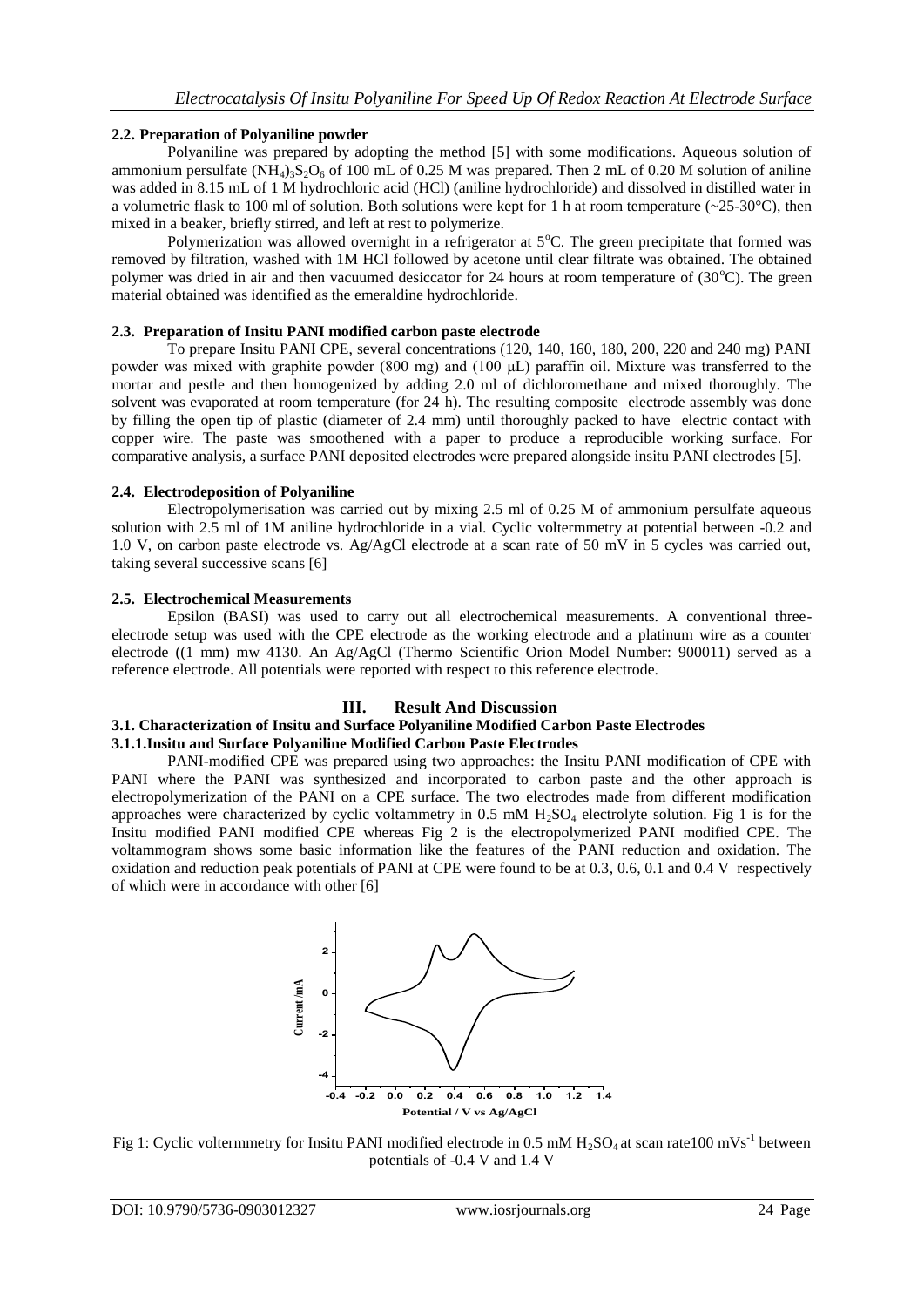# **2.2. Preparation of Polyaniline powder**

Polyaniline was prepared by adopting the method [5] with some modifications. Aqueous solution of ammonium persulfate  $(NH_4)$ <sub>3</sub>S<sub>2</sub>O<sub>6</sub> of 100 mL of 0.25 M was prepared. Then 2 mL of 0.20 M solution of aniline was added in 8.15 mL of 1 M hydrochloric acid (HCl) (aniline hydrochloride) and dissolved in distilled water in a volumetric flask to 100 ml of solution. Both solutions were kept for 1 h at room temperature ( $\sim$ 25-30°C), then mixed in a beaker, briefly stirred, and left at rest to polymerize.

Polymerization was allowed overnight in a refrigerator at  $5^{\circ}$ C. The green precipitate that formed was removed by filtration, washed with 1M HCl followed by acetone until clear filtrate was obtained. The obtained polymer was dried in air and then vacuumed desiccator for 24 hours at room temperature of  $(30^{\circ}C)$ . The green material obtained was identified as the emeraldine hydrochloride.

### **2.3. Preparation of Insitu PANI modified carbon paste electrode**

To prepare Insitu PANI CPE, several concentrations (120, 140, 160, 180, 200, 220 and 240 mg) PANI powder was mixed with graphite powder (800 mg) and (100 μL) paraffin oil. Mixture was transferred to the mortar and pestle and then homogenized by adding 2.0 ml of dichloromethane and mixed thoroughly. The solvent was evaporated at room temperature (for 24 h). The resulting composite electrode assembly was done by filling the open tip of plastic (diameter of 2.4 mm) until thoroughly packed to have electric contact with copper wire. The paste was smoothened with a paper to produce a reproducible working surface. For comparative analysis, a surface PANI deposited electrodes were prepared alongside insitu PANI electrodes [5].

### **2.4. Electrodeposition of Polyaniline**

Electropolymerisation was carried out by mixing 2.5 ml of 0.25 M of ammonium persulfate aqueous solution with 2.5 ml of 1M aniline hydrochloride in a vial. Cyclic voltermmetry at potential between -0.2 and 1.0 V, on carbon paste electrode vs. Ag/AgCl electrode at a scan rate of 50 mV in 5 cycles was carried out, taking several successive scans [6]

### **2.5. Electrochemical Measurements**

Epsilon (BASI) was used to carry out all electrochemical measurements. A conventional threeelectrode setup was used with the CPE electrode as the working electrode and a platinum wire as a counter electrode ((1 mm) mw 4130. An Ag/AgCl (Thermo Scientific Orion Model Number: 900011) served as a reference electrode. All potentials were reported with respect to this reference electrode.

# **III. Result And Discussion**

# **3.1. Characterization of Insitu and Surface Polyaniline Modified Carbon Paste Electrodes**

**3.1.1.Insitu and Surface Polyaniline Modified Carbon Paste Electrodes**

PANI-modified CPE was prepared using two approaches: the Insitu PANI modification of CPE with PANI where the PANI was synthesized and incorporated to carbon paste and the other approach is electropolymerization of the PANI on a CPE surface. The two electrodes made from different modification approaches were characterized by cyclic voltammetry in 0.5 mM  $H_2SO_4$  electrolyte solution. Fig 1 is for the Insitu modified PANI modified CPE whereas Fig 2 is the electropolymerized PANI modified CPE. The voltammogram shows some basic information like the features of the PANI reduction and oxidation. The oxidation and reduction peak potentials of PANI at CPE were found to be at 0.3, 0.6, 0.1 and 0.4 V respectively of which were in accordance with other [6]



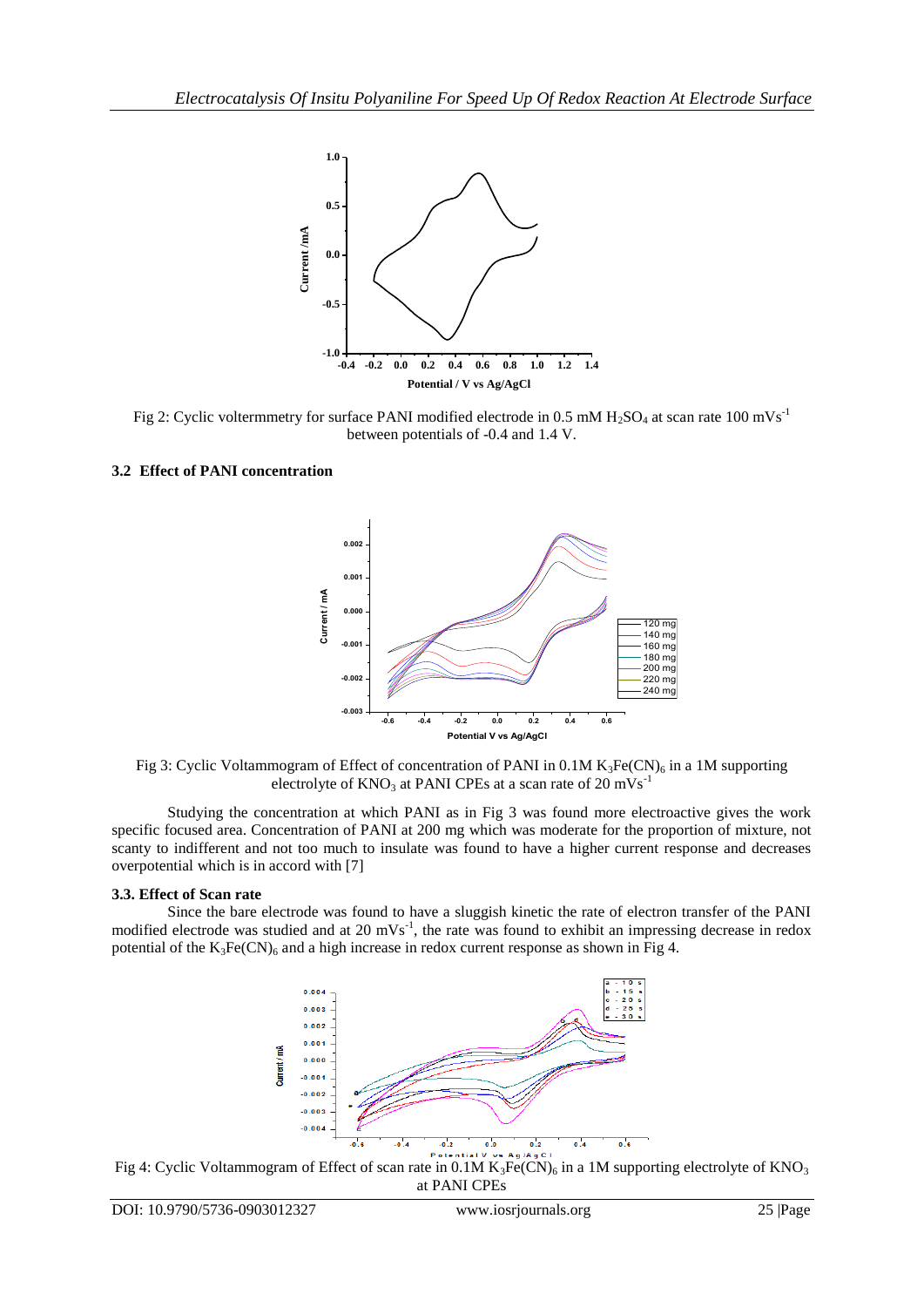

Fig 2: Cyclic voltermmetry for surface PANI modified electrode in 0.5 mM H<sub>2</sub>SO<sub>4</sub> at scan rate 100 mVs<sup>-1</sup> between potentials of -0.4 and 1.4 V.

### **3.2 Effect of PANI concentration**



Fig 3: Cyclic Voltammogram of Effect of concentration of PANI in 0.1M  $K_3Fe(CN)_6$  in a 1M supporting electrolyte of  $KNO_3$  at PANI CPEs at a scan rate of 20 mVs<sup>-1</sup>

Studying the concentration at which PANI as in Fig 3 was found more electroactive gives the work specific focused area. Concentration of PANI at 200 mg which was moderate for the proportion of mixture, not scanty to indifferent and not too much to insulate was found to have a higher current response and decreases overpotential which is in accord with [7]

### **3.3. Effect of Scan rate**

Since the bare electrode was found to have a sluggish kinetic the rate of electron transfer of the PANI modified electrode was studied and at 20  $mVs<sup>-1</sup>$ , the rate was found to exhibit an impressing decrease in redox potential of the  $K_3Fe(CN)_6$  and a high increase in redox current response as shown in Fig 4.



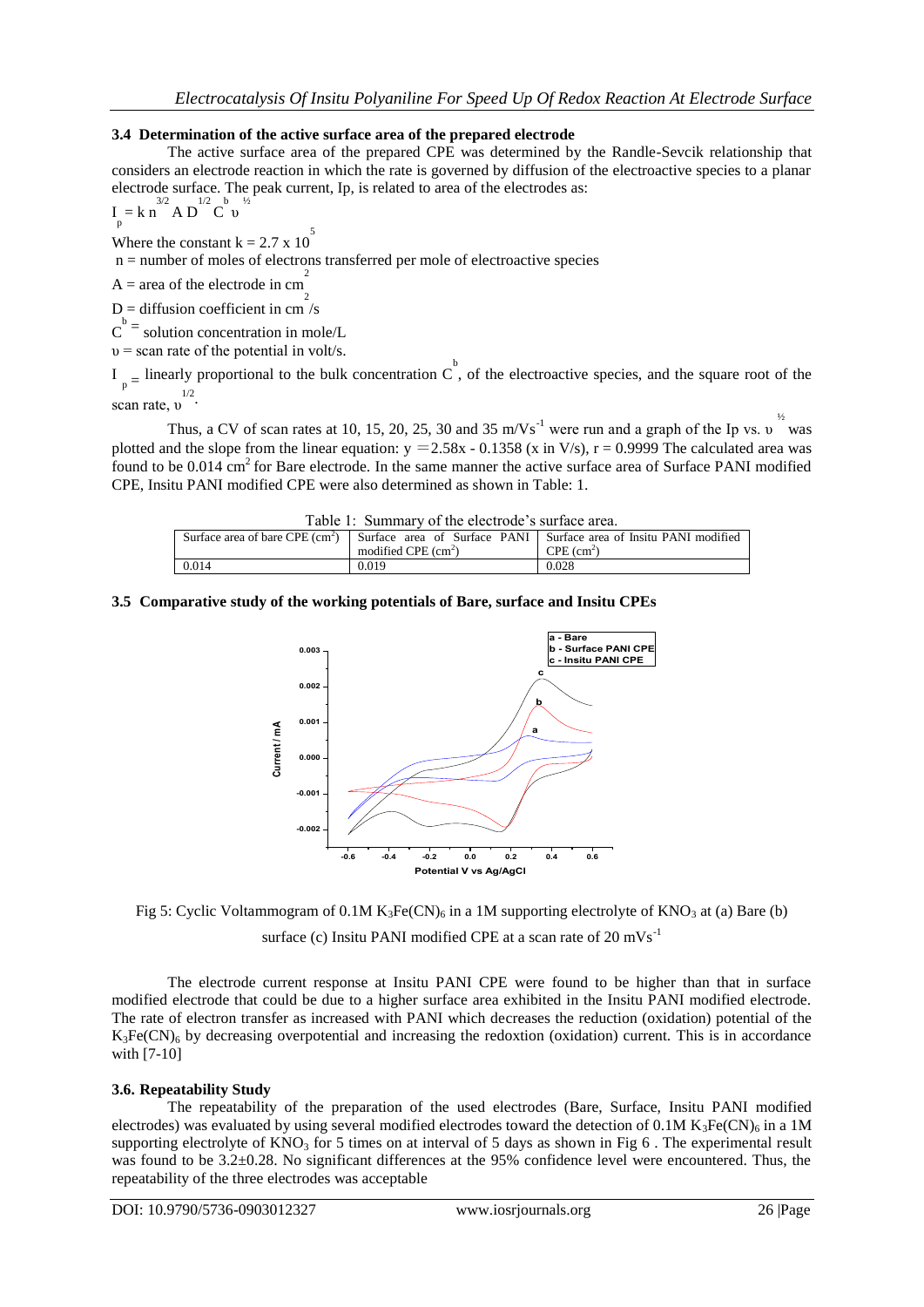### **3.4 Determination of the active surface area of the prepared electrode**

The active surface area of the prepared CPE was determined by the Randle-Sevcik relationship that considers an electrode reaction in which the rate is governed by diffusion of the electroactive species to a planar electrode surface. The peak current, Ip, is related to area of the electrodes as:

$$
I_{p} = k n^{3/2} A D^{1/2} C^{b} v^{1/2}
$$

Where the constant  $k = 2.7 \times 10^{-5}$ 

n = number of moles of electrons transferred per mole of electroactive species

 $A = \text{area of the electrode in cm}^2$ 

 $D =$  diffusion coefficient in cm<sup>2</sup>/s

 $C<sup>b</sup>$  = solution concentration in mole/L

 $v =$  scan rate of the potential in volt/s.

 $I_{p}$  = linearly proportional to the bulk concentration  $C$ , of the electroactive species, and the square root of the scan rate,  $v^{1/2}$ .

Thus, a CV of scan rates at 10, 15, 20, 25, 30 and 35 m/Vs<sup>-1</sup> were run and a graph of the Ip vs. υ <sup>1/2</sup> was plotted and the slope from the linear equation:  $y = 2.58x - 0.1358$  (x in V/s),  $r = 0.9999$  The calculated area was found to be  $0.014$  cm<sup>2</sup> for Bare electrode. In the same manner the active surface area of Surface PANI modified CPE, Insitu PANI modified CPE were also determined as shown in Table: 1.

| Table 1: Summary of the electrode's surface area. |                      |                                                                                                     |
|---------------------------------------------------|----------------------|-----------------------------------------------------------------------------------------------------|
|                                                   |                      | Surface area of bare CPE $(cm^2)$ Surface area of Surface PANI Surface area of Insitu PANI modified |
|                                                   | modified CPE $(cm2)$ | $CPE$ (cm <sup>2</sup> )                                                                            |
| 0.014                                             | 0.019                | 0.028                                                                                               |

### **3.5 Comparative study of the working potentials of Bare, surface and Insitu CPEs**





surface (c) Insitu PANI modified CPE at a scan rate of  $20 \text{ mVs}^{-1}$ 

The electrode current response at Insitu PANI CPE were found to be higher than that in surface modified electrode that could be due to a higher surface area exhibited in the Insitu PANI modified electrode. The rate of electron transfer as increased with PANI which decreases the reduction (oxidation) potential of the  $K_3Fe(CN)_6$  by decreasing overpotential and increasing the redoxtion (oxidation) current. This is in accordance with [7-10]

# **3.6. Repeatability Study**

The repeatability of the preparation of the used electrodes (Bare, Surface, Insitu PANI modified electrodes) was evaluated by using several modified electrodes toward the detection of 0.1M K<sub>3</sub>Fe(CN)<sub>6</sub> in a 1M supporting electrolyte of  $KNO<sub>3</sub>$  for 5 times on at interval of 5 days as shown in Fig 6. The experimental result was found to be  $3.2\pm0.28$ . No significant differences at the 95% confidence level were encountered. Thus, the repeatability of the three electrodes was acceptable